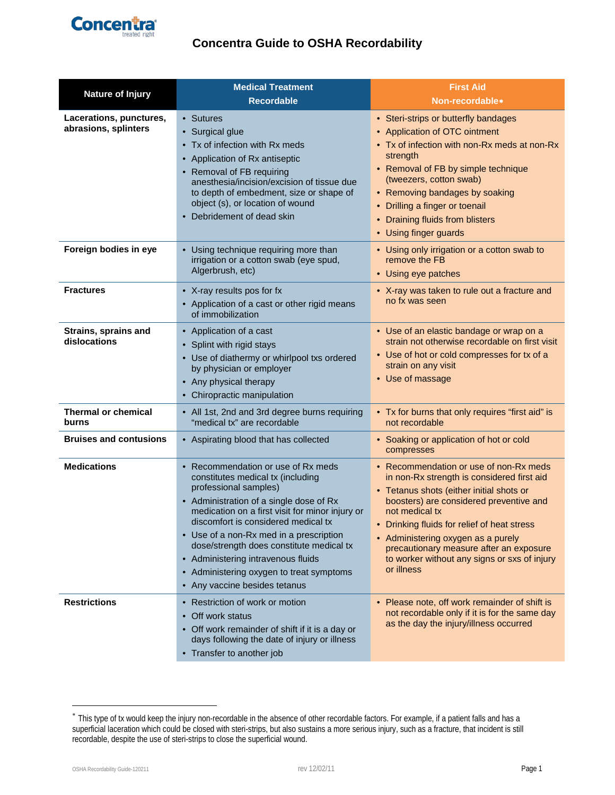

# **Concentra Guide to OSHA Recordability**

| <b>Nature of Injury</b>                         | <b>Medical Treatment</b>                                                                                                                                                                                                                                                                                                                                                                                                                        | <b>First Aid</b>                                                                                                                                                                                                                                                                                                                                                                            |
|-------------------------------------------------|-------------------------------------------------------------------------------------------------------------------------------------------------------------------------------------------------------------------------------------------------------------------------------------------------------------------------------------------------------------------------------------------------------------------------------------------------|---------------------------------------------------------------------------------------------------------------------------------------------------------------------------------------------------------------------------------------------------------------------------------------------------------------------------------------------------------------------------------------------|
|                                                 | <b>Recordable</b>                                                                                                                                                                                                                                                                                                                                                                                                                               | Non-recordable*                                                                                                                                                                                                                                                                                                                                                                             |
| Lacerations, punctures,<br>abrasions, splinters | • Sutures<br>• Surgical glue<br>• Tx of infection with Rx meds<br>• Application of Rx antiseptic<br>• Removal of FB requiring<br>anesthesia/incision/excision of tissue due<br>to depth of embedment, size or shape of<br>object (s), or location of wound<br>• Debridement of dead skin                                                                                                                                                        | • Steri-strips or butterfly bandages<br>• Application of OTC ointment<br>• Tx of infection with non-Rx meds at non-Rx<br>strength<br>• Removal of FB by simple technique<br>(tweezers, cotton swab)<br>• Removing bandages by soaking<br>• Drilling a finger or toenail<br>• Draining fluids from blisters<br>• Using finger guards                                                         |
| Foreign bodies in eye                           | • Using technique requiring more than<br>irrigation or a cotton swab (eye spud,<br>Algerbrush, etc)                                                                                                                                                                                                                                                                                                                                             | • Using only irrigation or a cotton swab to<br>remove the FB<br>• Using eye patches                                                                                                                                                                                                                                                                                                         |
| <b>Fractures</b>                                | • X-ray results pos for fx<br>• Application of a cast or other rigid means<br>of immobilization                                                                                                                                                                                                                                                                                                                                                 | • X-ray was taken to rule out a fracture and<br>no fx was seen                                                                                                                                                                                                                                                                                                                              |
| Strains, sprains and<br>dislocations            | • Application of a cast<br>• Splint with rigid stays<br>• Use of diathermy or whirlpool txs ordered<br>by physician or employer<br>• Any physical therapy<br>• Chiropractic manipulation                                                                                                                                                                                                                                                        | • Use of an elastic bandage or wrap on a<br>strain not otherwise recordable on first visit<br>• Use of hot or cold compresses for tx of a<br>strain on any visit<br>• Use of massage                                                                                                                                                                                                        |
| <b>Thermal or chemical</b><br>burns             | • All 1st, 2nd and 3rd degree burns requiring<br>"medical tx" are recordable                                                                                                                                                                                                                                                                                                                                                                    | • Tx for burns that only requires "first aid" is<br>not recordable                                                                                                                                                                                                                                                                                                                          |
| <b>Bruises and contusions</b>                   | • Aspirating blood that has collected                                                                                                                                                                                                                                                                                                                                                                                                           | • Soaking or application of hot or cold<br>compresses                                                                                                                                                                                                                                                                                                                                       |
| <b>Medications</b>                              | • Recommendation or use of Rx meds<br>constitutes medical tx (including<br>professional samples)<br>• Administration of a single dose of Rx<br>medication on a first visit for minor injury or<br>discomfort is considered medical tx<br>• Use of a non-Rx med in a prescription<br>dose/strength does constitute medical tx<br>• Administering intravenous fluids<br>• Administering oxygen to treat symptoms<br>• Any vaccine besides tetanus | • Recommendation or use of non-Rx meds<br>in non-Rx strength is considered first aid<br>• Tetanus shots (either initial shots or<br>boosters) are considered preventive and<br>not medical tx<br>• Drinking fluids for relief of heat stress<br>• Administering oxygen as a purely<br>precautionary measure after an exposure<br>to worker without any signs or sxs of injury<br>or illness |
| <b>Restrictions</b>                             | • Restriction of work or motion<br>• Off work status<br>• Off work remainder of shift if it is a day or<br>days following the date of injury or illness<br>• Transfer to another job                                                                                                                                                                                                                                                            | • Please note, off work remainder of shift is<br>not recordable only if it is for the same day<br>as the day the injury/illness occurred                                                                                                                                                                                                                                                    |

 $\overline{a}$ 

<span id="page-0-0"></span><sup>∗</sup> This type of tx would keep the injury non-recordable in the absence of other recordable factors. For example, if a patient falls and has a superficial laceration which could be closed with steri-strips, but also sustains a more serious injury, such as a fracture, that incident is still recordable, despite the use of steri-strips to close the superficial wound.